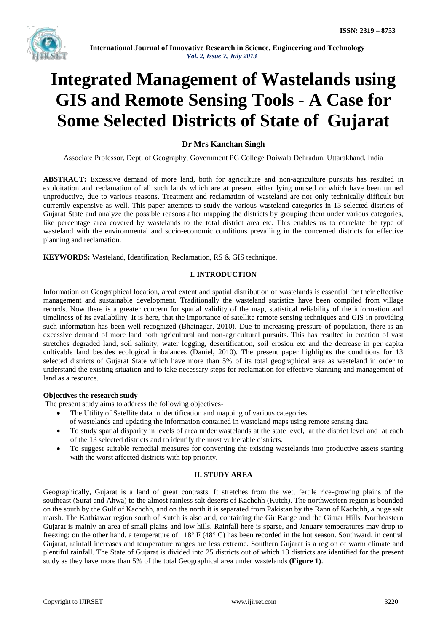

# **Integrated Management of Wastelands using GIS and Remote Sensing Tools - A Case for Some Selected Districts of State of Gujarat**

# **Dr Mrs Kanchan Singh**

Associate Professor, Dept. of Geography, Government PG College Doiwala Dehradun, Uttarakhand, India

**ABSTRACT:** Excessive demand of more land, both for agriculture and non-agriculture pursuits has resulted in exploitation and reclamation of all such lands which are at present either lying unused or which have been turned unproductive, due to various reasons. Treatment and reclamation of wasteland are not only technically difficult but currently expensive as well. This paper attempts to study the various wasteland categories in 13 selected districts of Gujarat State and analyze the possible reasons after mapping the districts by grouping them under various categories, like percentage area covered by wastelands to the total district area etc. This enables us to correlate the type of wasteland with the environmental and socio-economic conditions prevailing in the concerned districts for effective planning and reclamation.

**KEYWORDS:** Wasteland, Identification, Reclamation, RS & GIS technique.

## **I. INTRODUCTION**

Information on Geographical location, areal extent and spatial distribution of wastelands is essential for their effective management and sustainable development. Traditionally the wasteland statistics have been compiled from village records. Now there is a greater concern for spatial validity of the map, statistical reliability of the information and timeliness of its availability. It is here, that the importance of satellite remote sensing techniques and GIS in providing such information has been well recognized (Bhatnagar, 2010). Due to increasing pressure of population, there is an excessive demand of more land both agricultural and non-agricultural pursuits. This has resulted in creation of vast stretches degraded land, soil salinity, water logging, desertification, soil erosion etc and the decrease in per capita cultivable land besides ecological imbalances (Daniel, 2010). The present paper highlights the conditions for 13 selected districts of Gujarat State which have more than 5% of its total geographical area as wasteland in order to understand the existing situation and to take necessary steps for reclamation for effective planning and management of land as a resource.

## **Objectives the research study**

The present study aims to address the following objectives-

- The Utility of Satellite data in identification and mapping of various categories
	- of wastelands and updating the information contained in wasteland maps using remote sensing data.
- To study spatial disparity in levels of area under wastelands at the state level, at the district level and at each of the 13 selected districts and to identify the most vulnerable districts.
- To suggest suitable remedial measures for converting the existing wastelands into productive assets starting with the worst affected districts with top priority.

# **II. STUDY AREA**

Geographically, Gujarat is a land of great contrasts. It stretches from the wet, fertile rice-growing plains of the southeast (Surat and Ahwa) to the almost rainless salt deserts of Kachchh (Kutch). The northwestern region is bounded on the south by the Gulf of Kachchh, and on the north it is separated from Pakistan by the Rann of Kachchh, a huge salt marsh. The Kathiawar region south of Kutch is also arid, containing the Gir Range and the Girnar Hills. Northeastern Gujarat is mainly an area of small plains and low hills. Rainfall here is sparse, and January temperatures may drop to freezing; on the other hand, a temperature of 118° F (48° C) has been recorded in the hot season. Southward, in central Gujarat, rainfall increases and temperature ranges are less extreme. Southern Gujarat is a region of warm climate and plentiful rainfall. The State of Gujarat is divided into 25 districts out of which 13 districts are identified for the present study as they have more than 5% of the total Geographical area under wastelands **(Figure 1)**.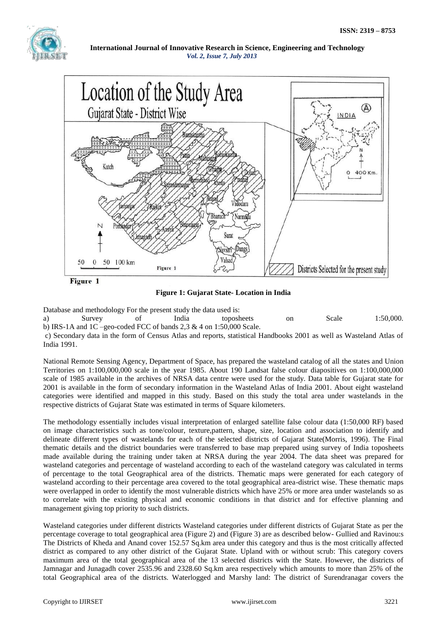

**International Journal of Innovative Research in Science, Engineering and Technology** *Vol. 2, Issue 7, July 2013*



**Figure 1: Gujarat State- Location in India**

Database and methodology For the present study the data used is:

a) Survey of India toposheets on Scale 1:50,000. b) IRS-1A and 1C –geo-coded FCC of bands 2.3  $\&$  4 on 1:50,000 Scale.

c) Secondary data in the form of Census Atlas and reports, statistical Handbooks 2001 as well as Wasteland Atlas of India 1991.

National Remote Sensing Agency, Department of Space, has prepared the wasteland catalog of all the states and Union Territories on 1:100,000,000 scale in the year 1985. About 190 Landsat false colour diapositives on 1:100,000,000 scale of 1985 available in the archives of NRSA data centre were used for the study. Data table for Gujarat state for 2001 is available in the form of secondary information in the Wasteland Atlas of India 2001. About eight wasteland categories were identified and mapped in this study. Based on this study the total area under wastelands in the respective districts of Gujarat State was estimated in terms of Square kilometers.

The methodology essentially includes visual interpretation of enlarged satellite false colour data (1:50,000 RF) based on image characteristics such as tone/colour, texture,pattern, shape, size, location and association to identify and delineate different types of wastelands for each of the selected districts of Gujarat State(Morris, 1996). The Final thematic details and the district boundaries were transferred to base map prepared using survey of India toposheets made available during the training under taken at NRSA during the year 2004. The data sheet was prepared for wasteland categories and percentage of wasteland according to each of the wasteland category was calculated in terms of percentage to the total Geographical area of the districts. Thematic maps were generated for each category of wasteland according to their percentage area covered to the total geographical area-district wise. These thematic maps were overlapped in order to identify the most vulnerable districts which have 25% or more area under wastelands so as to correlate with the existing physical and economic conditions in that district and for effective planning and management giving top priority to such districts.

Wasteland categories under different districts Wasteland categories under different districts of Gujarat State as per the percentage coverage to total geographical area (Figure 2) and (Figure 3) are as described below- Gullied and Ravinou:s The Districts of Kheda and Anand cover 152.57 Sq.km area under this category and thus is the most critically affected district as compared to any other district of the Gujarat State. Upland with or without scrub: This category covers maximum area of the total geographical area of the 13 selected districts with the State. However, the districts of Jamnagar and Junagadh cover 2535.96 and 2328.60 Sq.km area respectively which amounts to more than 25% of the total Geographical area of the districts. Waterlogged and Marshy land: The district of Surendranagar covers the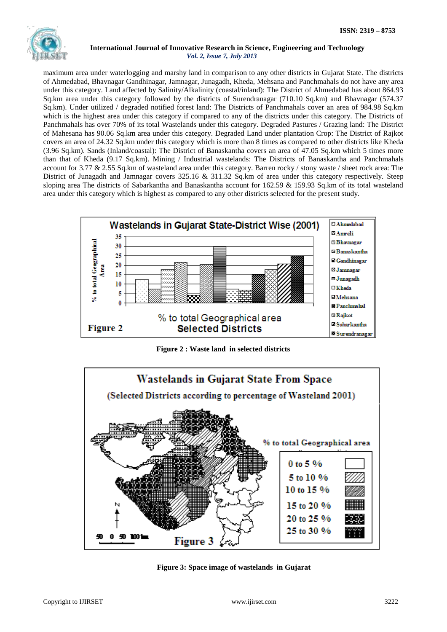

### **International Journal of Innovative Research in Science, Engineering and Technology** *Vol. 2, Issue 7, July 2013*

maximum area under waterlogging and marshy land in comparison to any other districts in Gujarat State. The districts of Ahmedabad, Bhavnagar Gandhinagar, Jamnagar, Junagadh, Kheda, Mehsana and Panchmahals do not have any area under this category. Land affected by Salinity/Alkalinity (coastal/inland): The District of Ahmedabad has about 864.93 Sq.km area under this category followed by the districts of Surendranagar (710.10 Sq.km) and Bhavnagar (574.37 Sq.km). Under utilized / degraded notified forest land: The Districts of Panchmahals cover an area of 984.98 Sq.km which is the highest area under this category if compared to any of the districts under this category. The Districts of Panchmahals has over 70% of its total Wastelands under this category. Degraded Pastures / Grazing land: The District of Mahesana has 90.06 Sq.km area under this category. Degraded Land under plantation Crop: The District of Rajkot covers an area of 24.32 Sq.km under this category which is more than 8 times as compared to other districts like Kheda (3.96 Sq.km). Sands (Inland/coastal): The District of Banaskantha covers an area of 47.05 Sq.km which 5 times more than that of Kheda (9.17 Sq.km). Mining / Industrial wastelands: The Districts of Banaskantha and Panchmahals account for 3.77 & 2.55 Sq.km of wasteland area under this category. Barren rocky / stony waste / sheet rock area: The District of Junagadh and Jamnagar covers 325.16 & 311.32 Sq.km of area under this category respectively. Steep sloping area The districts of Sabarkantha and Banaskantha account for 162.59 & 159.93 Sq.km of its total wasteland area under this category which is highest as compared to any other districts selected for the present study.



**Figure 2 : Waste land in selected districts**



**Figure 3: Space image of wastelands in Gujarat**